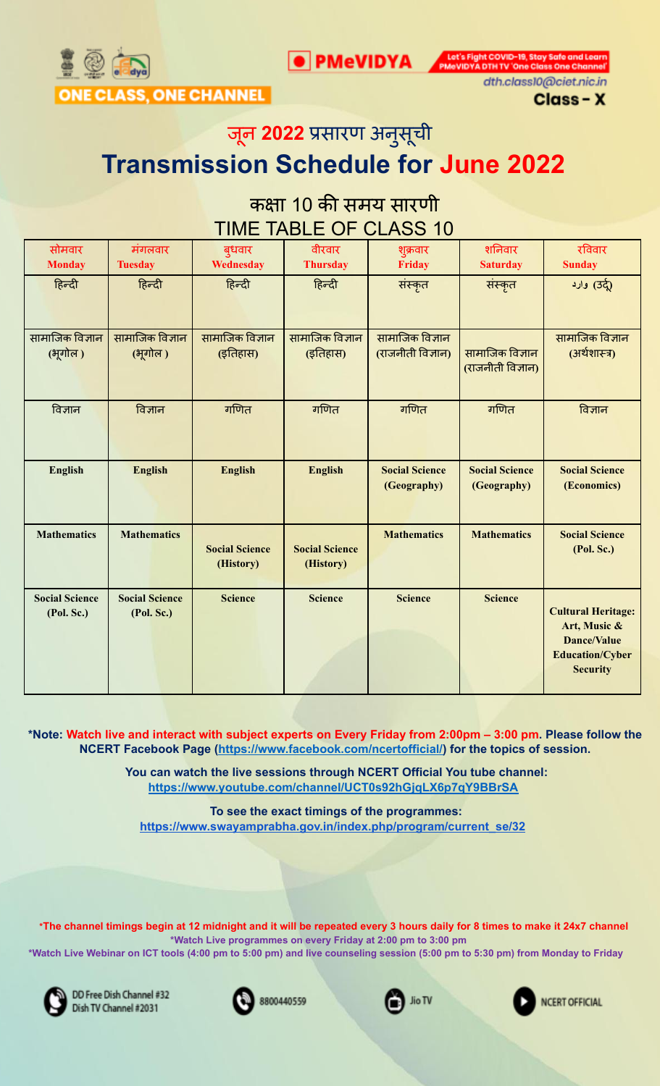

Let's Fight COVID-19, Stay Safe and Le<br>PMeVIDYA DTH TV 'One Class One Char



dth.class10@ciet.nic.in Class - X

जून **2022** प्रसारण अनुसूची

# **Transmission Schedule for June 2022**

## कक्षा 10 की समय सारणी TIME TABLE OF CLASS 10

| सोमवार<br><b>Monday</b>             | मंगलवार<br><b>Tuesday</b>           | बुधवार<br>Wednesday                | वीरवार<br><b>Thursday</b>          | शुक्रवार<br><b>Friday</b>            | शनिवार<br><b>Saturday</b>            | रविवार<br><b>Sunday</b>                                                                                      |
|-------------------------------------|-------------------------------------|------------------------------------|------------------------------------|--------------------------------------|--------------------------------------|--------------------------------------------------------------------------------------------------------------|
| हिन्दी                              | हिन्दी                              | हिन्दी                             | हिन्दी                             | संस्कृत                              | संस्कृत                              | رة (उर्दू) وارد                                                                                              |
| सामाजिक विज्ञान<br>(भूगोल)          | सामाजिक विज्ञान<br>(भूगोल)          | सामाजिक विज्ञान<br>(इतिहास)        | सामाजिक विज्ञान<br>(इतिहास)        | सामाजिक विज्ञान<br>(राजनीती विज्ञान) | सामाजिक विज्ञान<br>(राजनीती विज्ञान) | सामाजिक विज्ञान<br>(अर्थशास्त्र)                                                                             |
| विज्ञान                             | विज्ञान                             | गणित                               | गणित                               | गणित                                 | गणित                                 | विज्ञान                                                                                                      |
| <b>English</b>                      | <b>English</b>                      | <b>English</b>                     | <b>English</b>                     | <b>Social Science</b><br>(Geography) | <b>Social Science</b><br>(Geography) | <b>Social Science</b><br>(Economics)                                                                         |
| <b>Mathematics</b>                  | <b>Mathematics</b>                  | <b>Social Science</b><br>(History) | <b>Social Science</b><br>(History) | <b>Mathematics</b>                   | <b>Mathematics</b>                   | <b>Social Science</b><br>(Pol. Sc.)                                                                          |
| <b>Social Science</b><br>(Pol. Sc.) | <b>Social Science</b><br>(Pol. Sc.) | <b>Science</b>                     | <b>Science</b>                     | <b>Science</b>                       | <b>Science</b>                       | <b>Cultural Heritage:</b><br>Art, Music &<br><b>Dance/Value</b><br><b>Education/Cyber</b><br><b>Security</b> |

\*Note: Watch live and interact with subject experts on Every Friday from 2:00pm - 3:00 pm. Please follow the **NCERT Facebook Page (https://www.facebook.com/ncertofficial/) for the topics of session.**

> **You can watch the live sessions through NCERT Official You tube channel: https://www.youtube.com/channel/UCT0s92hGjqLX6p7qY9BBrSA**

**To see the exact timings of the programmes: [https://www.swayamprabha.gov.in/index.php/program/current\\_se/32](https://www.swayamprabha.gov.in/index.php/program/current_se/32)**

\*The channel timings begin at 12 midnight and it will be repeated every 3 hours daily for 8 times to make it 24x7 channel **\*Watch Live programmes on every Friday at 2:00 pm to 3:00 pm** \*Watch Live Webinar on ICT tools (4:00 pm to 5:00 pm) and live counseling session (5:00 pm to 5:30 pm) from Monday to Friday



DD Free Dish Channel #32 Dish TV Channel #2031



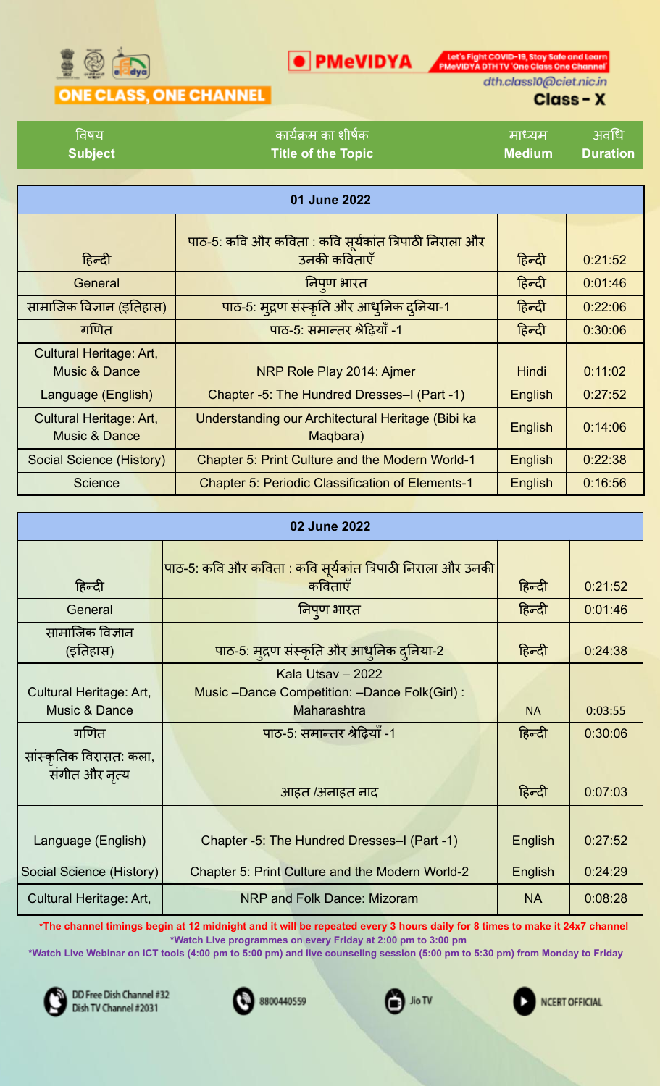

**O** PMeVIDYA **DESCRIPTION** PMOVIDYA DTH TV 'One Class One Channel

## ONE CLASS, ONE CHANNEL

dth.class10@ciet.nic.in

## Class-X

| विषय           | । कार्यक्रम का शीर्षक <sup>।</sup> | । माध्यम '    | अवधि     |
|----------------|------------------------------------|---------------|----------|
| <b>Subject</b> | <b>Title of the Topic</b>          | <b>Medium</b> | Duration |

| 01 June 2022                                               |                                                                        |              |         |  |  |
|------------------------------------------------------------|------------------------------------------------------------------------|--------------|---------|--|--|
| हिन्दी                                                     | पाठ-5: कवि और कविता : कवि सूर्यकांत त्रिपाठी निराला और<br>उनकी कविताएँ | हिन्दी       | 0:21:52 |  |  |
| General                                                    | निपुण भारत                                                             | हिन्दी       | 0:01:46 |  |  |
| सामाजिक विज्ञान (इतिहास)                                   | पाठ-5: मुद्रण संस्कृति और आधुनिक दुनिया-1                              | हिन्दी       | 0:22:06 |  |  |
| गणित                                                       | पाठ-5: समान्तर श्रेढ़ियाँ -1                                           | हिन्दी       | 0:30:06 |  |  |
| <b>Cultural Heritage: Art,</b><br><b>Music &amp; Dance</b> | NRP Role Play 2014: Ajmer                                              | <b>Hindi</b> | 0:11:02 |  |  |
| Language (English)                                         | Chapter -5: The Hundred Dresses-I (Part -1)                            | English      | 0:27:52 |  |  |
| <b>Cultural Heritage: Art,</b><br><b>Music &amp; Dance</b> | Understanding our Architectural Heritage (Bibi ka<br>Maqbara)          | English      | 0:14:06 |  |  |
| Social Science (History)                                   | <b>Chapter 5: Print Culture and the Modern World-1</b>                 | English      | 0:22:38 |  |  |
| <b>Science</b>                                             | <b>Chapter 5: Periodic Classification of Elements-1</b>                | English      | 0:16:56 |  |  |

| 02 June 2022                              |                                                                                  |           |         |  |
|-------------------------------------------|----------------------------------------------------------------------------------|-----------|---------|--|
| हिन्दी                                    | पाठ-5: कवि और कविता : कवि सूर्यकांत त्रिपाठी निराला और उनकी<br>कविताएँ           | हिन्दी    | 0:21:52 |  |
| General                                   | निपुण भारत                                                                       | हिन्दी    | 0:01:46 |  |
| सामाजिक विज्ञान<br>(इतिहास)               | पाठ-5: मुद्रण संस्कृति और आधुनिक दुनिया-2                                        | हिन्दी    | 0:24:38 |  |
| Cultural Heritage: Art,<br>Music & Dance  | Kala Utsav - 2022<br>Music -Dance Competition: -Dance Folk(Girl):<br>Maharashtra | <b>NA</b> | 0:03:55 |  |
| गणित                                      | पाठ-5: समान्तर श्रेढ़ियाँ -1                                                     | हिन्दी    | 0:30:06 |  |
| सांस्कृतिक विरासत: कला,<br>संगीत और नृत्य | आहत /अनाहत नाद                                                                   | हिन्दी    | 0:07:03 |  |
| Language (English)                        | Chapter -5: The Hundred Dresses-I (Part -1)                                      | English   | 0:27:52 |  |
| Social Science (History)                  | Chapter 5: Print Culture and the Modern World-2                                  | English   | 0:24:29 |  |
| Cultural Heritage: Art,                   | NRP and Folk Dance: Mizoram                                                      | <b>NA</b> | 0:08:28 |  |

\*The channel timings begin at 12 midnight and it will be repeated every 3 hours daily for 8 times to make it 24x7 channel **\*Watch Live programmes on every Friday at 2:00 pm to 3:00 pm**

\*Watch Live Webinar on ICT tools (4:00 pm to 5:00 pm) and live counseling session (5:00 pm to 5:30 pm) from Monday to Friday



DD Free Dish Channel #32 Dish TV Channel #2031



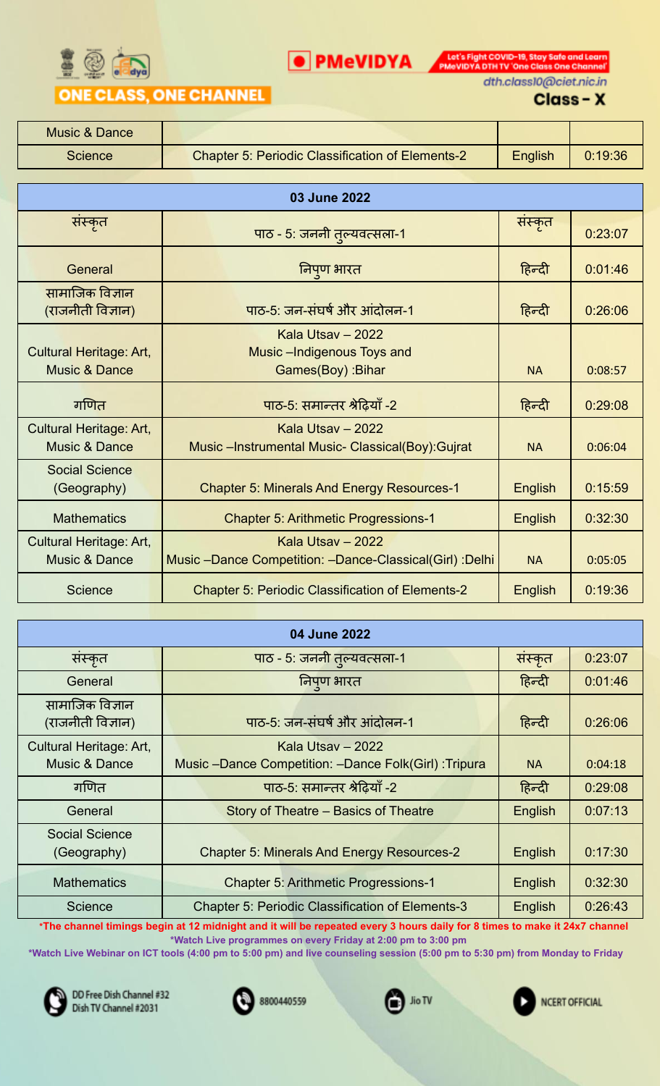

**O** PMeVIDYA **DESCRIPTION** PMOVIDYA DTHITV 'One Class One Channel' dth.class10@ciet.nic.in

#### Class-X

| Music & Dance  |                                                         |         |         |
|----------------|---------------------------------------------------------|---------|---------|
| <b>Science</b> | <b>Chapter 5: Periodic Classification of Elements-2</b> | English | 0:19:36 |

| 03 June 2022                                               |                                                                              |           |         |  |
|------------------------------------------------------------|------------------------------------------------------------------------------|-----------|---------|--|
| सस्कृत                                                     | पाठ - 5: जननी तुल्यवत्सला-1                                                  | संस्कृत   | 0:23:07 |  |
| General                                                    | निपुण भारत                                                                   | हिन्दी    | 0:01:46 |  |
| सामाजिक विज्ञान<br>(राजनीती विज्ञान)                       | पाठ-5: जन-संघर्ष और आंदोलन-1                                                 | हिन्दी    | 0:26:06 |  |
| <b>Cultural Heritage: Art,</b><br><b>Music &amp; Dance</b> | Kala Utsay - 2022<br>Music -Indigenous Toys and<br>Games(Boy) : Bihar        | <b>NA</b> | 0:08:57 |  |
| गणित                                                       | पाठ-5: समान्तर श्रेढ़ियाँ -2                                                 | हिन्दी    | 0:29:08 |  |
| Cultural Heritage: Art,<br><b>Music &amp; Dance</b>        | Kala Utsay - 2022<br>Music - Instrumental Music- Classical(Boy): Gujrat      | <b>NA</b> | 0:06:04 |  |
| <b>Social Science</b><br>(Geography)                       | <b>Chapter 5: Minerals And Energy Resources-1</b>                            | English   | 0:15:59 |  |
| <b>Mathematics</b>                                         | <b>Chapter 5: Arithmetic Progressions-1</b>                                  | English   | 0:32:30 |  |
| Cultural Heritage: Art,<br><b>Music &amp; Dance</b>        | Kala Utsay - 2022<br>Music -Dance Competition: -Dance-Classical(Girl) :Delhi | <b>NA</b> | 0:05:05 |  |
| <b>Science</b>                                             | <b>Chapter 5: Periodic Classification of Elements-2</b>                      | English   | 0:19:36 |  |

| 04 June 2022                             |                                                                           |           |         |  |  |
|------------------------------------------|---------------------------------------------------------------------------|-----------|---------|--|--|
| संस्कृत                                  | पाठ - 5: जननी तुल्यवत्सला-1                                               | संस्कृत   | 0:23:07 |  |  |
| General                                  | निपण भारत                                                                 | हिन्दी    | 0:01:46 |  |  |
| सामाजिक विज्ञान<br>(राजनीती विज्ञान)     | पाठ-5: जन-संघर्ष और आंदोलन-1                                              | हिन्दी    | 0:26:06 |  |  |
| Cultural Heritage: Art,<br>Music & Dance | Kala Utsay - 2022<br>Music -Dance Competition: -Dance Folk(Girl): Tripura | <b>NA</b> | 0:04:18 |  |  |
| गणित                                     | पाठ-5: समान्तर श्रेढ़ियाँ -2                                              | हिन्दी    | 0:29:08 |  |  |
| General                                  | Story of Theatre - Basics of Theatre                                      | English   | 0:07:13 |  |  |
| <b>Social Science</b><br>(Geography)     | <b>Chapter 5: Minerals And Energy Resources-2</b>                         | English   | 0:17:30 |  |  |
| <b>Mathematics</b>                       | <b>Chapter 5: Arithmetic Progressions-1</b>                               | English   | 0:32:30 |  |  |
| Science                                  | <b>Chapter 5: Periodic Classification of Elements-3</b>                   | English   | 0:26:43 |  |  |

\*The channel timings begin at 12 midnight and it will be repeated every 3 hours daily for 8 times to make it 24x7 channel **\*Watch Live programmes on every Friday at 2:00 pm to 3:00 pm**

\*Watch Live Webinar on ICT tools (4:00 pm to 5:00 pm) and live counseling session (5:00 pm to 5:30 pm) from Monday to Friday







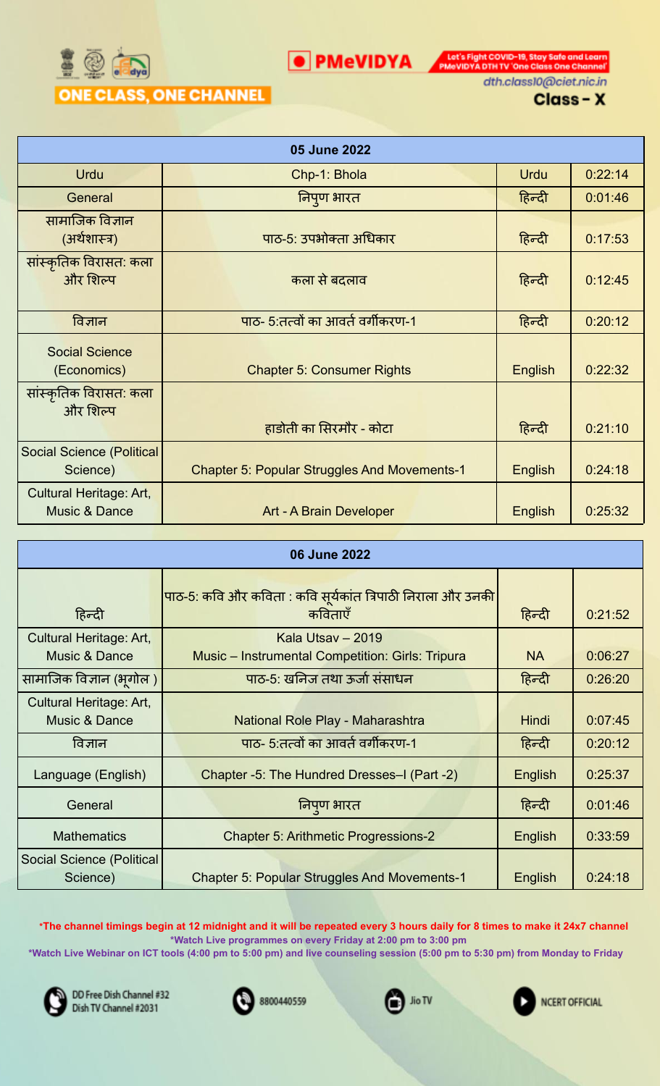

**O** PMeVIDYA **DESCRIPTION** PMOVIDYA DTHITV 'One Class One Channel' dth.class10@ciet.nic.in

Class-X

|                                                     | 05 June 2022                                        |                |         |
|-----------------------------------------------------|-----------------------------------------------------|----------------|---------|
| <b>Urdu</b>                                         | Chp-1: Bhola                                        | Urdu           | 0:22:14 |
| General                                             | निपुण भारत                                          | हिन्दी         | 0:01:46 |
| सामाजिक विज्ञान<br>(अर्थशास्त्र)                    | पाठ-5: उपभोक्ता अधिकार                              | हिन्दी         | 0:17:53 |
| सांस्कृतिक विरासत: कला<br>और शिल्प                  | कला से बदलाव                                        | हिन्दी         | 0:12:45 |
| विज्ञान                                             | पाठ- 5:तत्वों का आवर्त वर्गीकरण-1                   | हिन्दी         | 0:20:12 |
| <b>Social Science</b><br>(Economics)                | <b>Chapter 5: Consumer Rights</b>                   | <b>English</b> | 0:22:32 |
| सांस्कृतिक विरासत: कला<br>और शिल्प                  | हाडोती का सिरमौर - कोटा                             | हिन्दी         | 0:21:10 |
| <b>Social Science (Political</b><br>Science)        | <b>Chapter 5: Popular Struggles And Movements-1</b> | English        | 0:24:18 |
| Cultural Heritage: Art,<br><b>Music &amp; Dance</b> | Art - A Brain Developer                             | English        | 0:25:32 |

| 06 June 2022                                        |  |                                                                        |              |         |
|-----------------------------------------------------|--|------------------------------------------------------------------------|--------------|---------|
| हिन्दी                                              |  | पाठ-5: कवि और कविता : कवि सूर्यकांत त्रिपाठी निराला और उनकी<br>कविताएँ | हिन्दी       | 0:21:52 |
| Cultural Heritage: Art,<br><b>Music &amp; Dance</b> |  | Kala Utsav - 2019<br>Music - Instrumental Competition: Girls: Tripura  | <b>NA</b>    | 0:06:27 |
| सामाजिक विज्ञान (भूगोल )                            |  | पाठ-5: खनिज तथा ऊर्जा संसाधन                                           | हिन्दी       | 0:26:20 |
| Cultural Heritage: Art,<br><b>Music &amp; Dance</b> |  | National Role Play - Maharashtra                                       | <b>Hindi</b> | 0:07:45 |
| विज्ञान                                             |  | पाठ- 5:तत्वों का आवर्त वर्गीकरण-1                                      | हिन्दी       | 0:20:12 |
| Language (English)                                  |  | Chapter -5: The Hundred Dresses-I (Part -2)                            | English      | 0:25:37 |
| General                                             |  | निपुण भारत                                                             | हिन्दी       | 0:01:46 |
| <b>Mathematics</b>                                  |  | <b>Chapter 5: Arithmetic Progressions-2</b>                            | English      | 0:33:59 |
| Social Science (Political<br>Science)               |  | <b>Chapter 5: Popular Struggles And Movements-1</b>                    | English      | 0:24:18 |

\*The channel timings begin at 12 midnight and it will be repeated every 3 hours daily for 8 times to make it 24x7 channel **\*Watch Live programmes on every Friday at 2:00 pm to 3:00 pm**

\*Watch Live Webinar on ICT tools (4:00 pm to 5:00 pm) and live counseling session (5:00 pm to 5:30 pm) from Monday to Friday



DD Free Dish Channel #32 Dish TV Channel #2031



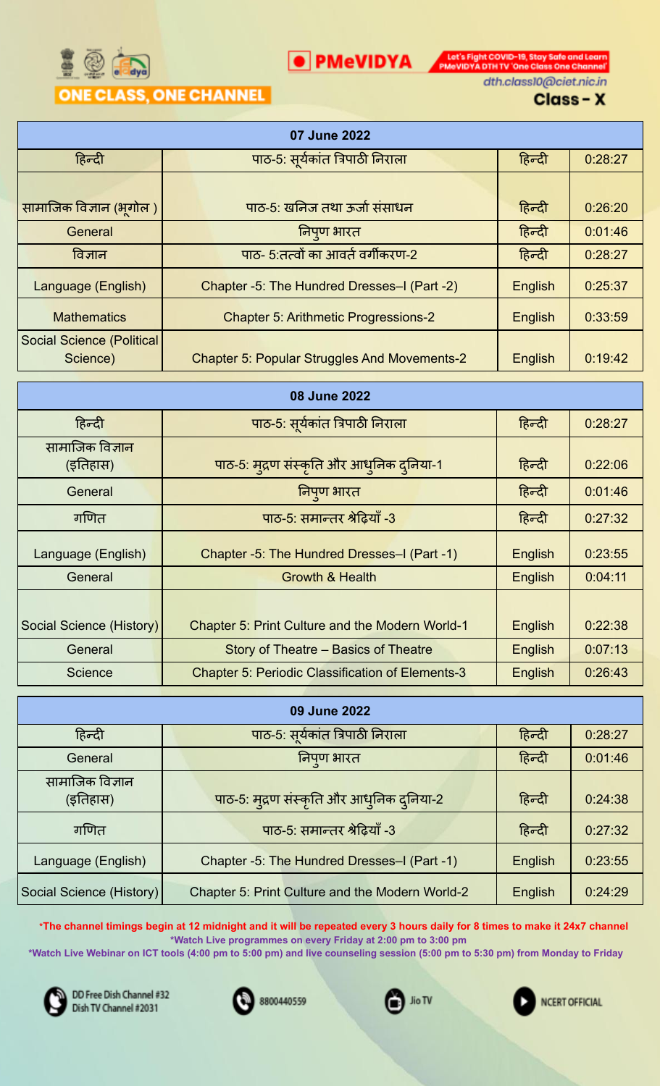

**O** PMeVIDYA **DESCRIPTION** PMOVIDYA DTHITV 'One Class One Channel' dth.class10@ciet.nic.in

## Class-X

|                                              | 07 June 2022                                        |         |         |
|----------------------------------------------|-----------------------------------------------------|---------|---------|
| हिन्दी                                       | पाठ-5: सूर्यकांत त्रिपाठी निराला                    | हिन्दी  | 0:28:27 |
|                                              |                                                     |         |         |
| सामाजिक विज्ञान (भूगोल)                      | पाठ-5: खनिज तथा ऊर्जा संसाधन                        | हिन्दी  | 0:26:20 |
| General                                      | निपुण भारत                                          | हिन्दी  | 0:01:46 |
| विज्ञान                                      | पाठ- 5:तत्वों का आवर्त वर्गीकरण-2                   | हिन्दी  | 0:28:27 |
| Language (English)                           | Chapter -5: The Hundred Dresses-I (Part -2)         | English | 0:25:37 |
| <b>Mathematics</b>                           | <b>Chapter 5: Arithmetic Progressions-2</b>         | English | 0:33:59 |
| <b>Social Science (Political</b><br>Science) | <b>Chapter 5: Popular Struggles And Movements-2</b> | English | 0:19:42 |
|                                              | 08 June 2022                                        |         |         |
| हिन्दी                                       | पाठ-5: सूर्यकांत त्रिपाठी निराला                    | हिन्दी  | 0:28:27 |
| सामाजिक विज्ञान<br>(इतिहास)                  | पाठ-5: मुद्रण संस्कृति और आधुनिक दुनिया-1           | हिन्दी  | 0:22:06 |
| General                                      | निपुण भारत                                          | हिन्दी  | 0:01:46 |
| गणित                                         | पाठ-5: समान्तर श्रेढ़ियाँ -3                        | हिन्दी  | 0:27:32 |
| Language (English)                           | Chapter -5: The Hundred Dresses-I (Part -1)         | English | 0:23:55 |
| General                                      | <b>Growth &amp; Health</b>                          | English | 0:04:11 |
|                                              |                                                     |         |         |

| Social Science (History) | Chapter 5: Print Culture and the Modern World-1         | English | 0:22:38 |
|--------------------------|---------------------------------------------------------|---------|---------|
| General                  | Story of Theatre – Basics of Theatre                    | English | 0:07:13 |
| <b>Science</b>           | <b>Chapter 5: Periodic Classification of Elements-3</b> | English | 0:26:43 |

| 09 June 2022                |                                                 |         |         |  |  |
|-----------------------------|-------------------------------------------------|---------|---------|--|--|
| हिन्दी                      | पाठ-5: सूर्यकांत त्रिपाठी निराला                | हिन्दी  | 0:28:27 |  |  |
| General                     | निपुण भारत                                      | हिन्दी  | 0:01:46 |  |  |
| सामाजिक विज्ञान<br>(इतिहास) | पाठ-5: मुद्रण संस्कृति और आधुनिक दुनिया-2       | हिन्दी  | 0:24:38 |  |  |
| गणित                        | पाठ-5: समान्तर श्रेढ़ियाँ -3                    | हिन्दी  | 0:27:32 |  |  |
| Language (English)          | Chapter -5: The Hundred Dresses-I (Part -1)     | English | 0:23:55 |  |  |
| Social Science (History)    | Chapter 5: Print Culture and the Modern World-2 | English | 0:24:29 |  |  |

\*The channel timings begin at 12 midnight and it will be repeated every 3 hours daily for 8 times to make it 24x7 channel **\*Watch Live programmes on every Friday at 2:00 pm to 3:00 pm**

\*Watch Live Webinar on ICT tools (4:00 pm to 5:00 pm) and live counseling session (5:00 pm to 5:30 pm) from Monday to Friday







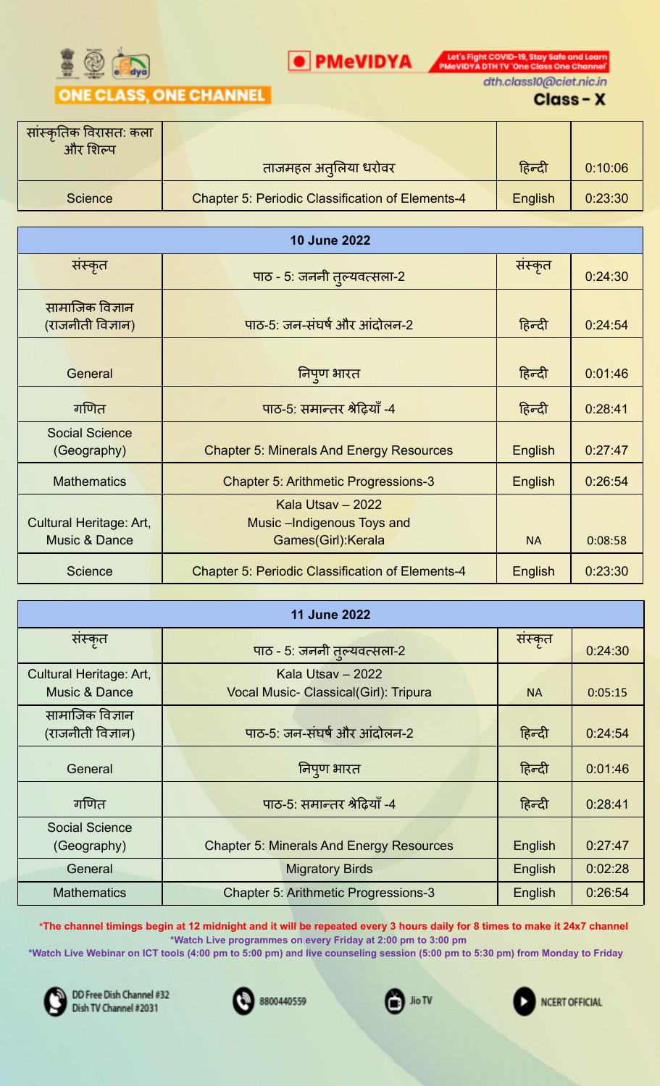

**O** PMeVIDYA **DESCRIPTION** PMOVIDYA DTHITV 'One Class One Channel' dth.class10@ciet.nic.in

## Class-X

| सांस्कृतिक विरासत: कला<br>और शिल्प |                                                         |         |         |
|------------------------------------|---------------------------------------------------------|---------|---------|
|                                    | ताजमहल अतुलिया धरोवर                                    | हिन्दी  | 0:10:06 |
| <b>Science</b>                     | <b>Chapter 5: Periodic Classification of Elements-4</b> | English | 0:23:30 |

| <b>10 June 2022</b>                                 |                                                                         |                |         |  |
|-----------------------------------------------------|-------------------------------------------------------------------------|----------------|---------|--|
| संस्कृत                                             | पाठ - 5: जननी तुल्यवत्सला-2                                             | संस्कृत        | 0:24:30 |  |
| सामाजिक विज्ञान.<br>(राजनीती विज्ञान)               | पाठ-5: जन-संघर्ष और आंदोलन-2                                            | हिन्दी         | 0:24:54 |  |
| General                                             | निपुण भारत                                                              | हिन्दी         | 0:01:46 |  |
| गणित                                                | पाठ-5: समान्तर श्रेढ़ियाँ -4                                            | हिन्दी         | 0:28:41 |  |
| <b>Social Science</b><br>(Geography)                | <b>Chapter 5: Minerals And Energy Resources</b>                         | English        | 0:27:47 |  |
| <b>Mathematics</b>                                  | <b>Chapter 5: Arithmetic Progressions-3</b>                             | <b>English</b> | 0:26:54 |  |
| Cultural Heritage: Art,<br><b>Music &amp; Dance</b> | Kala Utsay - 2022<br>Music - Indigenous Toys and<br>Games(Girl): Kerala | <b>NA</b>      | 0:08:58 |  |
| <b>Science</b>                                      | <b>Chapter 5: Periodic Classification of Elements-4</b>                 | English        | 0:23:30 |  |

| <b>11 June 2022</b>                      |                                                            |           |         |  |
|------------------------------------------|------------------------------------------------------------|-----------|---------|--|
| सस्कृत                                   | पाठ - 5: जननी तुल्यवत्सला-2                                | संस्कृत   | 0:24:30 |  |
| Cultural Heritage: Art,<br>Music & Dance | Kala Utsay - 2022<br>Vocal Music- Classical(Girl): Tripura | <b>NA</b> | 0:05:15 |  |
| सामाजिक विज्ञान<br>(राजनीती विज्ञान)     | पाठ-5: जन-संघर्ष और आंदोलन-2                               | हिन्दी    | 0.24.54 |  |
| General                                  | निपुण भारत                                                 | हिन्दी    | 0:01:46 |  |
| गणित                                     | पाठ-5: समान्तर श्रेढ़ियाँ -4                               | हिन्दी    | 0:28:41 |  |
| <b>Social Science</b><br>(Geography)     | <b>Chapter 5: Minerals And Energy Resources</b>            | English   | 0.27.47 |  |
| General                                  | <b>Migratory Birds</b>                                     | English   | 0:02:28 |  |
| <b>Mathematics</b>                       | <b>Chapter 5: Arithmetic Progressions-3</b>                | English   | 0:26:54 |  |

\*The channel timings begin at 12 midnight and it will be repeated every 3 hours daily for 8 times to make it 24x7 channel **\*Watch Live programmes on every Friday at 2:00 pm to 3:00 pm**

\*Watch Live Webinar on ICT tools (4:00 pm to 5:00 pm) and live counseling session (5:00 pm to 5:30 pm) from Monday to Friday







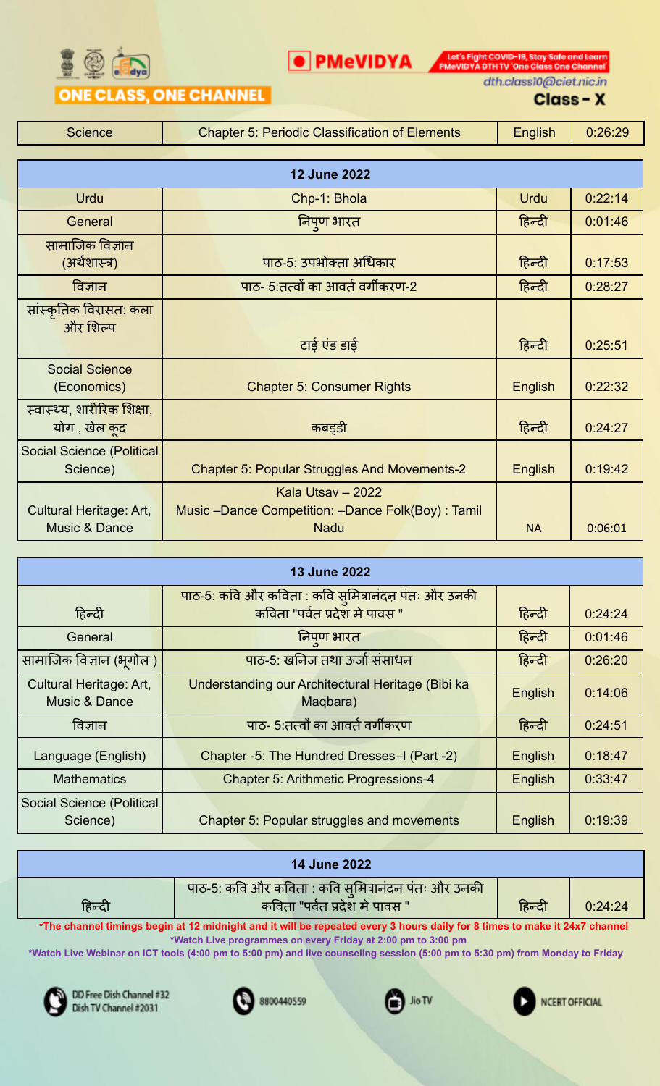

Let's Fight COVID-19, Stay Safe and Learn<br>PMeVIDYA DTH TV 'One Class One Channel'

## **ONE CLASS, ONE CHANNEL**

dth.class10@ciet.nic.in

#### Class-X

Science **Chapter 5: Periodic Classification of Elements** Figulish 1 0:26:29

O PMeVIDYA

| <b>12 June 2022</b>                                |                                                     |                |         |  |
|----------------------------------------------------|-----------------------------------------------------|----------------|---------|--|
| <b>Urdu</b>                                        | Chp-1: Bhola                                        | <b>Urdu</b>    | 0:22:14 |  |
| General                                            | निपुण भारत                                          | हिन्दी         | 0:01:46 |  |
| सामाजिक विज्ञान<br>(अर्थशास्त्र)                   | पाठ-5: उपभोक्ता अधिकार                              | हिन्दी         | 0:17:53 |  |
| विज्ञान                                            | पाठ- 5:तत्वों का आवर्त वर्गीकरण-2                   | हिन्दी         | 0:28:27 |  |
| सांस्कृतिक विरासत: कला<br>और शिल्प                 |                                                     |                |         |  |
|                                                    | टाई एंड डाई                                         | हिन्दी         | 0:25:51 |  |
| <b>Social Science</b><br>(Economics)               | <b>Chapter 5: Consumer Rights</b>                   | English        | 0:22:32 |  |
| स्वास्थ्य, शारीरिक शिक्षा,<br>योग , खेल <u>क</u> द | कबड़डी                                              | हिन्दी         | 0:24:27 |  |
| <b>Social Science (Political</b><br>Science)       | <b>Chapter 5: Popular Struggles And Movements-2</b> | <b>English</b> | 0:19:42 |  |
|                                                    | Kala Utsav - 2022                                   |                |         |  |
| Cultural Heritage: Art,                            | Music -Dance Competition: -Dance Folk(Boy): Tamil   |                |         |  |
| <b>Music &amp; Dance</b>                           | <b>Nadu</b>                                         | <b>NA</b>      | 0:06:01 |  |

| <b>13 June 2022</b>       |                                                                                      |         |         |
|---------------------------|--------------------------------------------------------------------------------------|---------|---------|
|                           | पाठ-5: कवि और कविता : कवि सुमित्रानंदन पंतः और उनकी<br>कविता "पर्वत प्रदेश मे पावस " |         |         |
| हिन्दी                    |                                                                                      | हिन्दी  | 0:24:24 |
| General                   | निपुण भारत                                                                           | हिन्दी  | 0:01:46 |
| सामाजिक विज्ञान (भूगोल )  | पाठ-5: खनिज तथा ऊर्जा संसाधन                                                         | हिन्दी  | 0:26:20 |
| Cultural Heritage: Art,   | Understanding our Architectural Heritage (Bibi ka                                    | English | 0:14:06 |
| <b>Music &amp; Dance</b>  | Maqbara)                                                                             |         |         |
| विज्ञान                   | पाठ- 5:तत्वों का आवर्त वर्गीकरण                                                      | हिन्दी  | 0:24:51 |
| Language (English)        | Chapter -5: The Hundred Dresses-I (Part -2)                                          | English | 0:18.47 |
| <b>Mathematics</b>        | <b>Chapter 5: Arithmetic Progressions-4</b>                                          | English | 0:33:47 |
| Social Science (Political |                                                                                      |         |         |
| Science)                  | <b>Chapter 5: Popular struggles and movements</b>                                    | English | 0:19:39 |

| <b>14 June 2022</b> |                                                                                      |        |         |
|---------------------|--------------------------------------------------------------------------------------|--------|---------|
| हिन्दी              | पाठ-5: कवि और कविता : कवि सुमित्रानंदन पंतः और उनकी<br>कविता "पर्वत प्रदेश मे पावस " | हिन्दी | 0:24:24 |

\*The channel timings begin at 12 midnight and it will be repeated every 3 hours daily for 8 times to make it 24x7 channel **\*Watch Live programmes on every Friday at 2:00 pm to 3:00 pm**

\*Watch Live Webinar on ICT tools (4:00 pm to 5:00 pm) and live counseling session (5:00 pm to 5:30 pm) from Monday to Friday







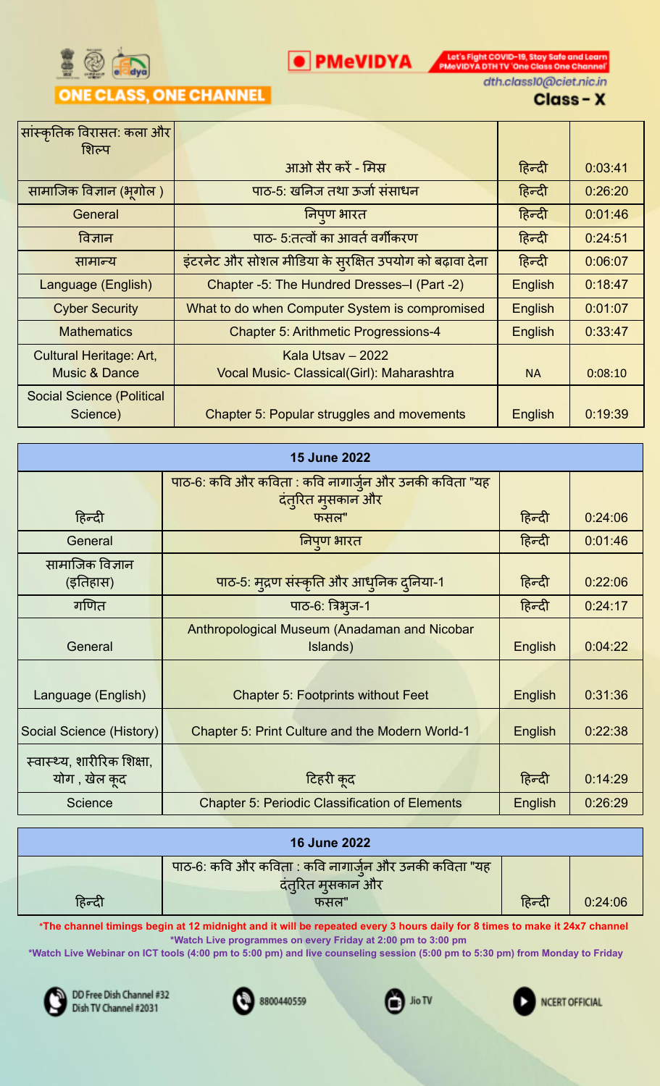

**O** PMeVIDYA **DESCRIPTION** PMOVIDYA DTHITV 'One Class One Channel' dth.class10@ciet.nic.in

#### Class-X

| सांस्कृतिक विरासत: कला और        |                                                         |           |         |
|----------------------------------|---------------------------------------------------------|-----------|---------|
| शिल्प                            |                                                         |           |         |
|                                  | आओ सैर करें - मिस्र                                     | हिन्दी    | 0.03.41 |
| सामाजिक विज्ञान (भूगोल )         | पाठ-5: खनिज तथा ऊर्जा संसाधन                            | हिन्दी    | 0:26:20 |
| General                          | निपुण भारत                                              | हिन्दी    | 0:01:46 |
| विज्ञान                          | पाठ- 5:तत्वों का आवर्त वर्गीकरण                         | हिन्दी    | 0:24:51 |
| सामान्य                          | इंटरनेट और सोशल मीडिया के सुरक्षित उपयोग को बढ़ावा देना | हिन्दी    | 0:06:07 |
| Language (English)               | Chapter -5: The Hundred Dresses-I (Part -2)             | English   | 0:18:47 |
| <b>Cyber Security</b>            | What to do when Computer System is compromised          | English   | 0:01:07 |
| <b>Mathematics</b>               | <b>Chapter 5: Arithmetic Progressions-4</b>             | English   | 0:33:47 |
| Cultural Heritage: Art,          | Kala Utsay - 2022                                       |           |         |
| <b>Music &amp; Dance</b>         | Vocal Music- Classical(Girl): Maharashtra               | <b>NA</b> | 0:08:10 |
| <b>Social Science (Political</b> |                                                         |           |         |
| Science)                         | <b>Chapter 5: Popular struggles and movements</b>       | English   | 0:19:39 |

| <b>15 June 2022</b>        |  |                                                       |         |         |
|----------------------------|--|-------------------------------------------------------|---------|---------|
|                            |  | पाठ-6: कवि और कविता : कवि नागार्जुन और उनकी कविता "यह |         |         |
| हिन्दी                     |  | दंत्रित मुसकान और<br>फसल"                             | हिन्दी  | 0:24:06 |
| General                    |  | निपुण भारत                                            | हिन्दी  | 0:01:46 |
| सामाजिक विज्ञान            |  |                                                       |         |         |
| (इतिहास)                   |  | पाठ-5: मुद्रण संस्कृति और आधुनिक दुनिया-1             | हिन्दी  | 0:22:06 |
| गणित                       |  | पाठ-6: त्रिभुज-1                                      | हिन्दी  | 0:24:17 |
|                            |  | Anthropological Museum (Anadaman and Nicobar          |         |         |
| General                    |  | Islands)                                              | English | 0:04:22 |
|                            |  |                                                       |         |         |
| Language (English)         |  | <b>Chapter 5: Footprints without Feet</b>             | English | 0:31:36 |
| Social Science (History)   |  | Chapter 5: Print Culture and the Modern World-1       | English | 0:22:38 |
| स्वास्थ्य, शारीरिक शिक्षा, |  |                                                       |         |         |
| योग , खेल कुद              |  | टिहरी कुद                                             | हिन्दी  | 0:14:29 |
| Science                    |  | <b>Chapter 5: Periodic Classification of Elements</b> | English | 0:26:29 |

| <b>16 June 2022</b> |                                                                            |        |         |
|---------------------|----------------------------------------------------------------------------|--------|---------|
|                     | पाठ-6: कवि और कविता : कवि नागार्जुन और उनकी कविता "यह<br>दंत्रित मुसकान और |        |         |
| हिन्दी              | फसल"                                                                       | हिन्दी | 0:24:06 |

\*The channel timings begin at 12 midnight and it will be repeated every 3 hours daily for 8 times to make it 24x7 channel **\*Watch Live programmes on every Friday at 2:00 pm to 3:00 pm**

\*Watch Live Webinar on ICT tools (4:00 pm to 5:00 pm) and live counseling session (5:00 pm to 5:30 pm) from Monday to Friday



DD Free Dish Channel #32 Dish TV Channel #2031



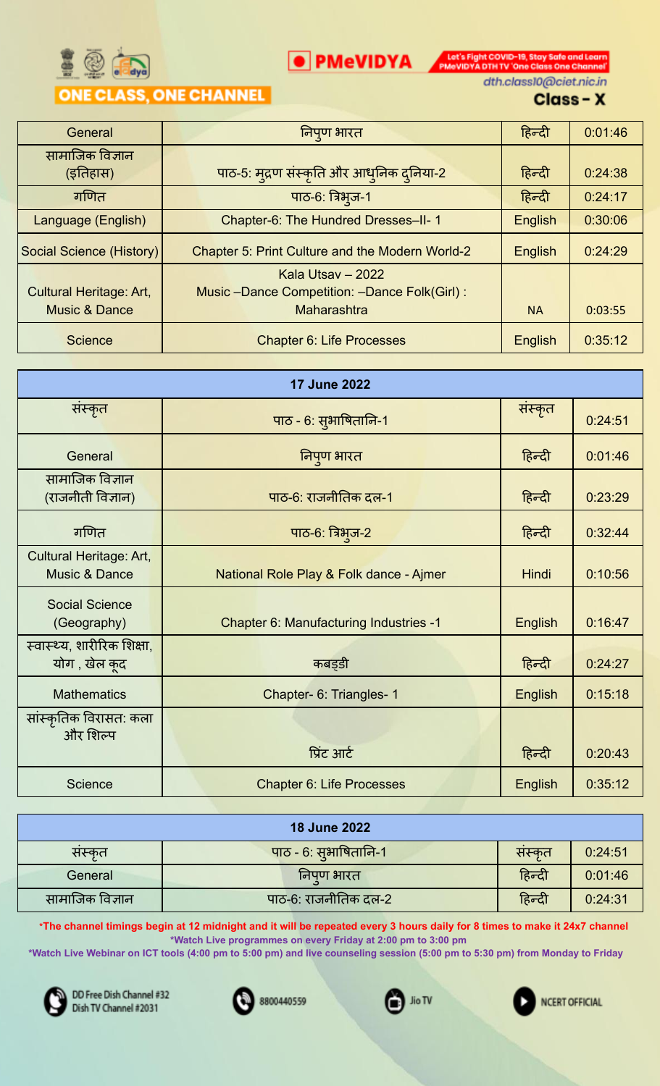

**O** PMeVIDYA **DESCRIPTION** PMOVIDYA DTHITV 'One Class One Channel' dth.class10@ciet.nic.in

## Class-X

| General                  | निपुण भारत                                      | हिन्दी    | 0:01:46 |
|--------------------------|-------------------------------------------------|-----------|---------|
| सामाजिक विज्ञान          |                                                 |           |         |
| (इतिहास)                 | पाठ-5: मुद्रण संस्कृति और आधुनिक दुनिया-2       | हिन्दी    | 0:24:38 |
| गणित                     | पाठ-6: त्रिभुज-1                                | हिन्दी    | 0:24:17 |
| Language (English)       | Chapter-6: The Hundred Dresses-II-1             | English   | 0:30:06 |
| Social Science (History) | Chapter 5: Print Culture and the Modern World-2 | English   | 0:24:29 |
|                          | Kala Utsay - 2022                               |           |         |
| Cultural Heritage: Art,  | Music -Dance Competition: -Dance Folk(Girl):    |           |         |
| <b>Music &amp; Dance</b> | Maharashtra                                     | <b>NA</b> | 0:03:55 |
| <b>Science</b>           | <b>Chapter 6: Life Processes</b>                | English   | 0:35:12 |

| <b>17 June 2022</b>                                 |                                         |                |         |
|-----------------------------------------------------|-----------------------------------------|----------------|---------|
| संस्कृत                                             | पाठ - 6: सुभाषितानि-1                   | संस्कृत        | 0:24:51 |
| General                                             | निपुण भारत                              | हिन्दी         | 0:01:46 |
| सामाजिक विज्ञान<br>(राजनीती विज्ञान)                | पाठ-6: राजनीतिक दल-1                    | हिन्दी         | 0:23:29 |
| गणित                                                | पाठ-6: त्रिभुज-2                        | हिन्दी         | 0:32:44 |
| Cultural Heritage: Art,<br><b>Music &amp; Dance</b> | National Role Play & Folk dance - Ajmer | Hindi          | 0:10:56 |
| <b>Social Science</b><br>(Geography)                | Chapter 6: Manufacturing Industries -1  | <b>English</b> | 0:16:47 |
| स्वास्थ्य, शारीरिक शिक्षा,<br>योग, खेल कूद          | कबड़डी                                  | हिन्दी         | 0:24:27 |
| <b>Mathematics</b>                                  | Chapter- 6: Triangles- 1                | English        | 0:15:18 |
| सांस्कृतिक विरासत: कला<br>और शिल्प                  | प्रिंट आर्ट                             | हिन्दी         | 0:20:43 |
| Science                                             | <b>Chapter 6: Life Processes</b>        | English        | 0:35:12 |

| <b>18 June 2022</b> |                       |        |         |  |
|---------------------|-----------------------|--------|---------|--|
| सस्कृत              | पाठ - 6: सुभाषितानि-1 | सस्कृत | 0:24:51 |  |
| General             | निपुण भारत            | हिन्दी | 0:01:46 |  |
| सामाजिक विज्ञान     | पाठ-6: राजनीतिक दल-2  | हिन्दी | 0:24:31 |  |

\*The channel timings begin at 12 midnight and it will be repeated every 3 hours daily for 8 times to make it 24x7 channel **\*Watch Live programmes on every Friday at 2:00 pm to 3:00 pm**

\*Watch Live Webinar on ICT tools (4:00 pm to 5:00 pm) and live counseling session (5:00 pm to 5:30 pm) from Monday to Friday



DD Free Dish Channel #32 Dish TV Channel #2031



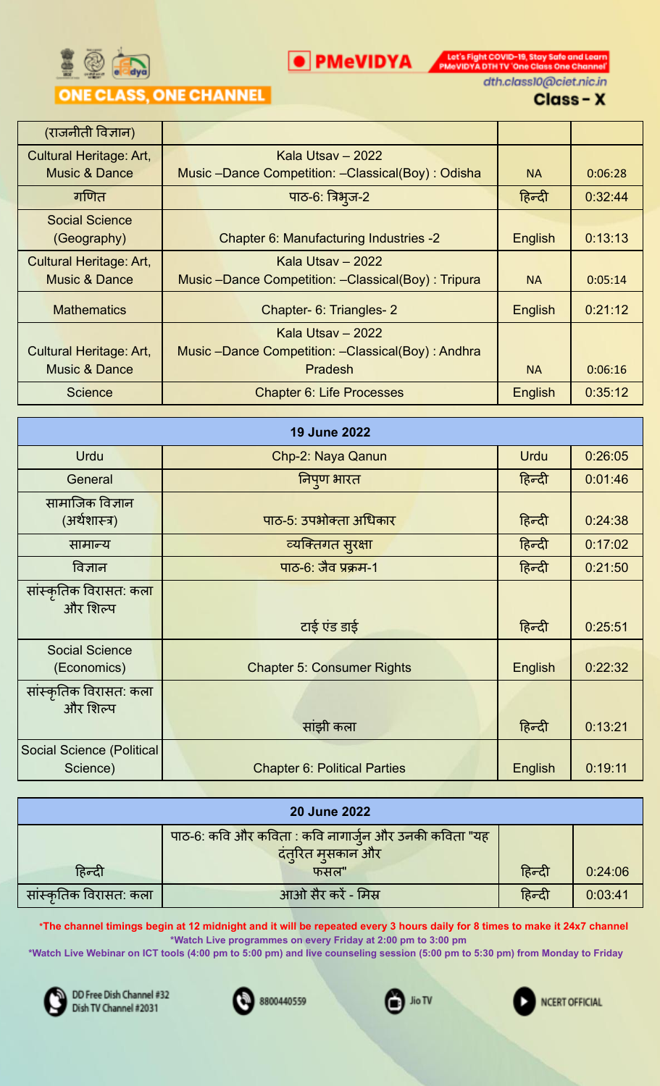

**O** PMeVIDYA **DESCRIPTION** PMOVIDYA DTHITV 'One Class One Channel' dth.class10@ciet.nic.in

## Class-X

| (राजनीती विज्ञान)              |                                                    |                |         |
|--------------------------------|----------------------------------------------------|----------------|---------|
| <b>Cultural Heritage: Art,</b> | Kala Utsav – 2022                                  |                |         |
| <b>Music &amp; Dance</b>       | Music -Dance Competition: -Classical(Boy): Odisha  | <b>NA</b>      | 0:06:28 |
| गणित                           | पाठ-6: त्रिभुज-2                                   | हिन्दी         | 0:32:44 |
| <b>Social Science</b>          |                                                    |                |         |
| (Geography)                    | Chapter 6: Manufacturing Industries -2             | English        | 0:13:13 |
| <b>Cultural Heritage: Art,</b> | Kala Utsay - 2022                                  |                |         |
| <b>Music &amp; Dance</b>       | Music -Dance Competition: -Classical(Boy): Tripura | <b>NA</b>      | 0:05:14 |
| <b>Mathematics</b>             | Chapter- 6: Triangles- 2                           | <b>English</b> | 0:21:12 |
|                                | Kala Utsay - 2022                                  |                |         |
| <b>Cultural Heritage: Art,</b> | Music -Dance Competition: -Classical(Boy): Andhra  |                |         |
| Music & Dance                  | Pradesh                                            | <b>NA</b>      | 0:06:16 |
| <b>Science</b>                 | <b>Chapter 6: Life Processes</b>                   | English        | 0:35:12 |

|                                       | <b>19 June 2022</b>                 |             |         |
|---------------------------------------|-------------------------------------|-------------|---------|
| <b>Urdu</b>                           | Chp-2: Naya Qanun                   | <b>Urdu</b> | 0:26:05 |
| General                               | निपुण भारत                          | हिन्दी      | 0:01:46 |
| सामाजिक विज्ञान<br>(अर्थशास्त्र)      | पाठ-5: उपभोक्ता अधिकार              | हिन्दी      | 0:24:38 |
| सामान्य                               | व्यक्तिगत सुरक्षा                   | हिन्दी      | 0:17:02 |
| विज्ञान                               | पाठ-6: जैव प्रक्रम-1                | हिन्दी      | 0:21:50 |
| सांस्कृतिक विरासत: कला<br>और शिल्प    | टाई एंड डाई                         | हिन्दी      | 0:25:51 |
| <b>Social Science</b><br>(Economics)  | <b>Chapter 5: Consumer Rights</b>   | English     | 0:22:32 |
| सांस्कृतिक विरासत: कला<br>और शिल्प    | सांझी कला                           | हिन्दी      | 0:13:21 |
| Social Science (Political<br>Science) | <b>Chapter 6: Political Parties</b> | English     | 0:19:11 |

| <b>20 June 2022</b>    |                                                       |        |         |
|------------------------|-------------------------------------------------------|--------|---------|
|                        | पाठ-6: कवि और कविता : कवि नागार्जुन और उनकी कविता "यह |        |         |
|                        | दंत्रित मुसकान और                                     |        |         |
| हिन्दी                 | फसल"                                                  | हिन्दी | 0:24:06 |
| सांस्कृतिक विरासत: कला | आओ सैर करें - मिस्र                                   | हिन्दी | 0:03:41 |

\*The channel timings begin at 12 midnight and it will be repeated every 3 hours daily for 8 times to make it 24x7 channel **\*Watch Live programmes on every Friday at 2:00 pm to 3:00 pm**

\*Watch Live Webinar on ICT tools (4:00 pm to 5:00 pm) and live counseling session (5:00 pm to 5:30 pm) from Monday to Friday







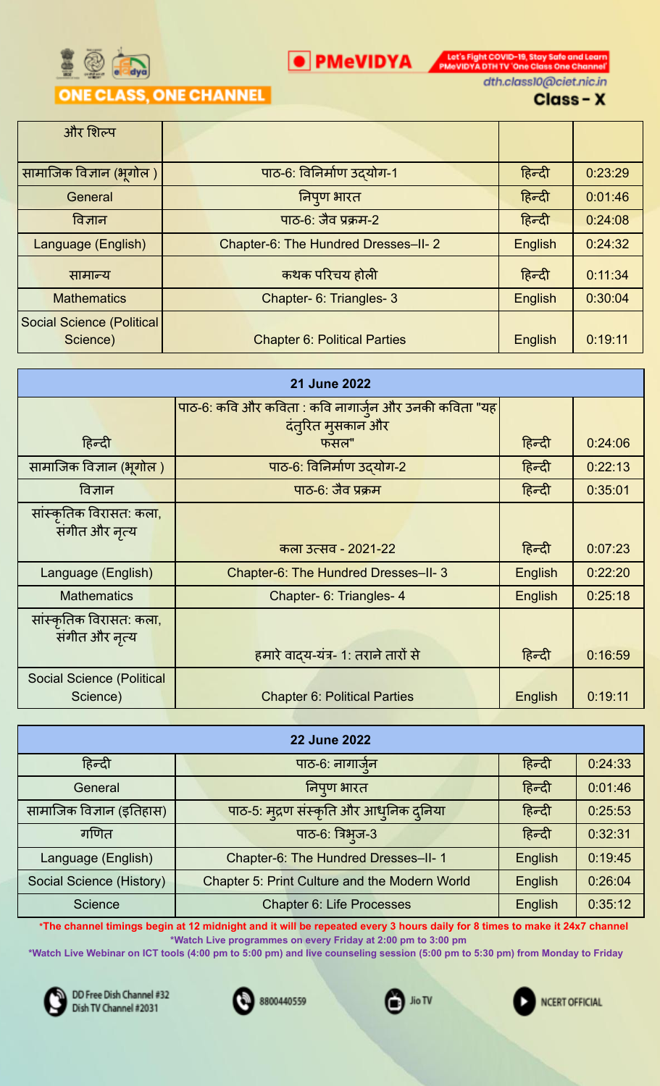

**O** PMeVIDYA **DESCRIPTION** PMOVIDYA DTH TV 'One Class One Channel dth.class10@ciet.nic.in

## Class-X

| और शिल्प                         |                                     |         |         |
|----------------------------------|-------------------------------------|---------|---------|
|                                  |                                     |         |         |
| सामाजिक विज्ञान (भूगोल )         | पाठ-6: विनिर्माण उदयोग-1            | हिन्दी  | 0:23:29 |
| General                          | निपुण भारत                          | हिन्दी  | 0:01:46 |
| विज्ञान                          | <u>पाठ-6: जैव प्रक्रम-2</u>         | हिन्दी  | 0:24:08 |
| Language (English)               | Chapter-6: The Hundred Dresses-II-2 | English | 0:24:32 |
| सामान्य                          | कथक परिचय होली                      | हिन्दी  | 0:11:34 |
| <b>Mathematics</b>               | Chapter- 6: Triangles- 3            | English | 0:30:04 |
| <b>Social Science (Political</b> |                                     |         |         |
| Science)                         | <b>Chapter 6: Political Parties</b> | English | 0:19:11 |

| 21 June 2022                                 |                                                       |         |         |  |
|----------------------------------------------|-------------------------------------------------------|---------|---------|--|
|                                              | पाठ-6: कवि और कविता : कवि नागार्जुन और उनकी कविता "यह |         |         |  |
| हिन्दी                                       | दंत्रित मुसकान और<br>फसल"                             | हिन्दी  | 0.24:06 |  |
| सामाजिक विज्ञान (भूगोल )                     | पाठ-6: विनिर्माण उदयोग-2                              | हिन्दी  | 0:22:13 |  |
| विज्ञान                                      | पाठ-6: जैव प्रक्रम                                    | हिन्दी  | 0:35:01 |  |
| सांस्कृतिक विरासत: कला,<br>संगीत और नृत्य    |                                                       |         |         |  |
|                                              | कला उत्सव - 2021-22                                   | हिन्दी  | 0:07:23 |  |
| Language (English)                           | Chapter-6: The Hundred Dresses-II-3                   | English | 0:22:20 |  |
| <b>Mathematics</b>                           | Chapter- 6: Triangles- 4                              | English | 0:25:18 |  |
| सांस्कृतिक विरासत: कला,<br>संगीत और नृत्य    |                                                       |         |         |  |
|                                              | हमारे वादय-यंत्र- 1: तराने तारों से                   | हिन्दी  | 0:16:59 |  |
| <b>Social Science (Political</b><br>Science) | <b>Chapter 6: Political Parties</b>                   | English | 0:19:11 |  |

| <b>22 June 2022</b>      |                                                      |         |         |  |
|--------------------------|------------------------------------------------------|---------|---------|--|
| हिन्दी                   | पाठ-6: नागार्जन                                      | हिन्दी  | 0:24:33 |  |
| General                  | निपुण भारत                                           | हिन्दी  | 0:01:46 |  |
| सामाजिक विज्ञान (इतिहास) | पाठ-5: मुद्रण संस्कृति और आधुनिक दुनिया              | हिन्दी  | 0:25:53 |  |
| गणित                     | पाठ-6: त्रिभुज-3                                     | हिन्दी  | 0:32:31 |  |
| Language (English)       | Chapter-6: The Hundred Dresses-II-1                  | English | 0:19:45 |  |
| Social Science (History) | <b>Chapter 5: Print Culture and the Modern World</b> | English | 0:26:04 |  |
| Science                  | <b>Chapter 6: Life Processes</b>                     | English | 0:35:12 |  |

\*The channel timings begin at 12 midnight and it will be repeated every 3 hours daily for 8 times to make it 24x7 channel **\*Watch Live programmes on every Friday at 2:00 pm to 3:00 pm**

\*Watch Live Webinar on ICT tools (4:00 pm to 5:00 pm) and live counseling session (5:00 pm to 5:30 pm) from Monday to Friday







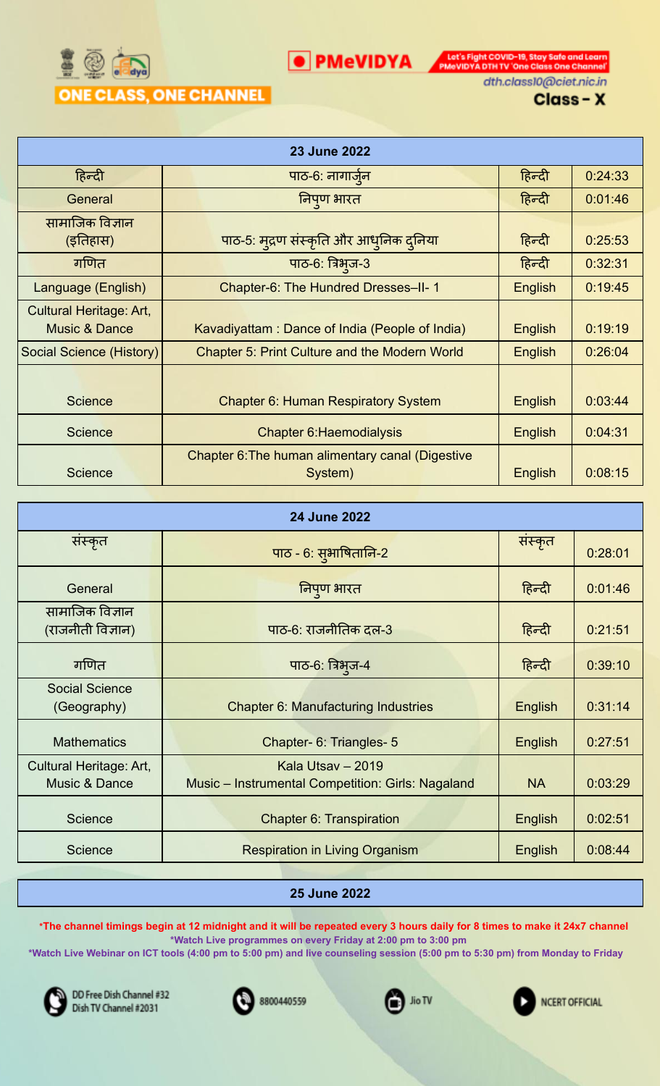

Let's Fight COVID-19, Stay Safe and Learn<br>PMeVIDYA DTH TV 'One Class One Channel dth.class10@ciet.nic.in

Class-X

| <b>23 June 2022</b>                                 |                                                             |         |         |  |
|-----------------------------------------------------|-------------------------------------------------------------|---------|---------|--|
| हिन्दी                                              | पाठ-6: नागाजेन                                              | हिन्दी  | 0:24:33 |  |
| General                                             | निपुण भारत                                                  | हिन्दी  | 0:01:46 |  |
| सामाजिक विज्ञान<br>(इतिहास)                         | पाठ-5: मुद्रण संस्कृति और आधुनिक दुनिया                     | हिन्दी  | 0:25:53 |  |
| गणित                                                | पाठ-6: त्रिभुज-3                                            | हिन्दी  | 0:32:31 |  |
| Language (English)                                  | Chapter-6: The Hundred Dresses-II-1                         | English | 0:19:45 |  |
| Cultural Heritage: Art,<br><b>Music &amp; Dance</b> | Kavadiyattam: Dance of India (People of India)              | English | 0:19:19 |  |
| Social Science (History)                            | <b>Chapter 5: Print Culture and the Modern World</b>        | English | 0:26:04 |  |
| <b>Science</b>                                      | <b>Chapter 6: Human Respiratory System</b>                  | English | 0:03:44 |  |
| <b>Science</b>                                      | <b>Chapter 6: Haemodialysis</b>                             | English | 0:04:31 |  |
| <b>Science</b>                                      | Chapter 6: The human alimentary canal (Digestive<br>System) | English | 0:08:15 |  |

O PMeVIDYA

| <b>24 June 2022</b>                      |                                                                        |                |         |  |
|------------------------------------------|------------------------------------------------------------------------|----------------|---------|--|
| संस्कृत                                  | पाठ - 6: सुभाषितानि-2                                                  | संस्कृत        | 0:28:01 |  |
| General                                  | निपुण भारत                                                             | हिन्दी         | 0:01:46 |  |
| सामाजिक विज्ञान<br>(राजनीती विज्ञान)     | पाठ-6: राजनीतिक दल-3                                                   | हिन्दी         | 0:21:51 |  |
| गणित                                     | पाठ-6: त्रिभुज-4                                                       | हिन्दी         | 0:39:10 |  |
| <b>Social Science</b><br>(Geography)     | <b>Chapter 6: Manufacturing Industries</b>                             | English        | 0:31:14 |  |
| <b>Mathematics</b>                       | Chapter- 6: Triangles- 5                                               | English        | 0:27:51 |  |
| Cultural Heritage: Art,<br>Music & Dance | Kala Utsay - 2019<br>Music - Instrumental Competition: Girls: Nagaland | <b>NA</b>      | 0:03:29 |  |
| <b>Science</b>                           | Chapter 6: Transpiration                                               | <b>English</b> | 0:02:51 |  |
| <b>Science</b>                           | <b>Respiration in Living Organism</b>                                  | English        | 0.08:44 |  |

#### **25 June 2022**

\*The channel timings begin at 12 midnight and it will be repeated every 3 hours daily for 8 times to make it 24x7 channel **\*Watch Live programmes on every Friday at 2:00 pm to 3:00 pm**

\*Watch Live Webinar on ICT tools (4:00 pm to 5:00 pm) and live counseling session (5:00 pm to 5:30 pm) from Monday to Friday







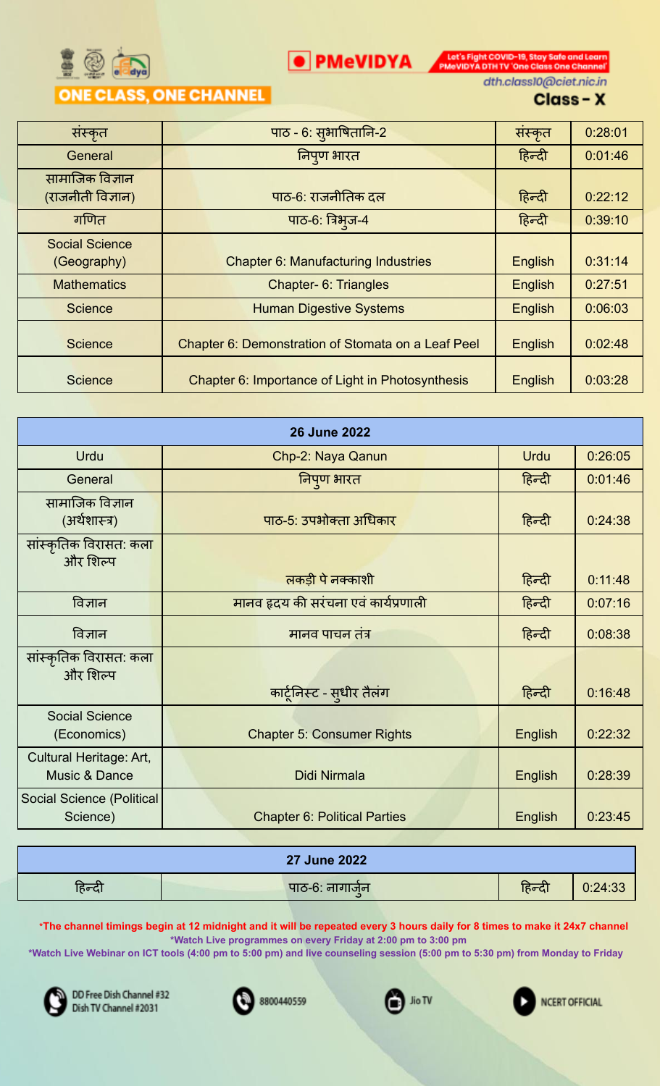

**O** PMeVIDYA **DESCRIPTION** PMOVIDYA DTHITV 'One Class One Channel' dth.class10@ciet.nic.in

#### Class-X

| संस्कृत                              | पाठ - 6: सुभाषितानि-2                              | संस्कृत | 0:28:01 |
|--------------------------------------|----------------------------------------------------|---------|---------|
| General                              | निपुण भारत                                         | हिन्दी  | 0:01:46 |
| सामाजिक विज्ञान<br>(राजनीती विज्ञान) | पाठ-6: राजनीतिक दल                                 | हिन्दी  | 0:22:12 |
| गणित                                 | पाठ-6: त्रिभुज-4                                   | हिन्दी  | 0:39:10 |
| <b>Social Science</b><br>(Geography) | <b>Chapter 6: Manufacturing Industries</b>         | English | 0:31:14 |
| <b>Mathematics</b>                   | <b>Chapter- 6: Triangles</b>                       | English | 0:27:51 |
| <b>Science</b>                       | <b>Human Digestive Systems</b>                     | English | 0:06:03 |
| <b>Science</b>                       | Chapter 6: Demonstration of Stomata on a Leaf Peel | English | 0:02:48 |
| <b>Science</b>                       | Chapter 6: Importance of Light in Photosynthesis   | English | 0:03:28 |

| <b>26 June 2022</b>                              |                                      |             |         |  |  |
|--------------------------------------------------|--------------------------------------|-------------|---------|--|--|
| Urdu                                             | Chp-2: Naya Qanun                    | <b>Urdu</b> | 0:26:05 |  |  |
| General                                          | निपुण भारत                           | हिन्दी      | 0:01:46 |  |  |
| सामाजिक विज्ञान<br>(अर्थशास्त्र)                 | पाठ-5: उपभोक्ता अधिकार               | हिन्दी      | 0:24:38 |  |  |
| सांस्कृतिक विरासत: कल <mark>ा</mark><br>और शिल्प |                                      |             |         |  |  |
|                                                  | लकड़ी पे नक्काशी                     | हिन्दी      | 0:11:48 |  |  |
| विज्ञान                                          | मानव हृदय की सरंचना एवं कार्यप्रणाली | हिन्दी      | 0:07:16 |  |  |
| विज्ञान                                          | मानव पाचन तंत्र                      | हिन्दी      | 0:08:38 |  |  |
| सांस्कृतिक विरासत: कल <mark>ा</mark><br>और शिल्प | कार्टूनिस्ट - सुधीर तैलंग            | हिन्दी      | 0:16:48 |  |  |
| <b>Social Science</b><br>(Economics)             | <b>Chapter 5: Consumer Rights</b>    | English     | 0:22:32 |  |  |
| Cultural Heritage: Art,<br>Music & Dance         | Didi Nirmala                         | English     | 0:28:39 |  |  |
| <b>Social Science (Political</b><br>Science)     | <b>Chapter 6: Political Parties</b>  | English     | 0:23:45 |  |  |

|        | <b>27 June 2022</b> |        |         |
|--------|---------------------|--------|---------|
| हिन्दी | पाठ-6: नागाजेन      | हिन्दी | 0:24:33 |

\*The channel timings begin at 12 midnight and it will be repeated every 3 hours daily for 8 times to make it 24x7 channel **\*Watch Live programmes on every Friday at 2:00 pm to 3:00 pm**

\*Watch Live Webinar on ICT tools (4:00 pm to 5:00 pm) and live counseling session (5:00 pm to 5:30 pm) from Monday to Friday



DD Free Dish Channel #32 Dish TV Channel #2031



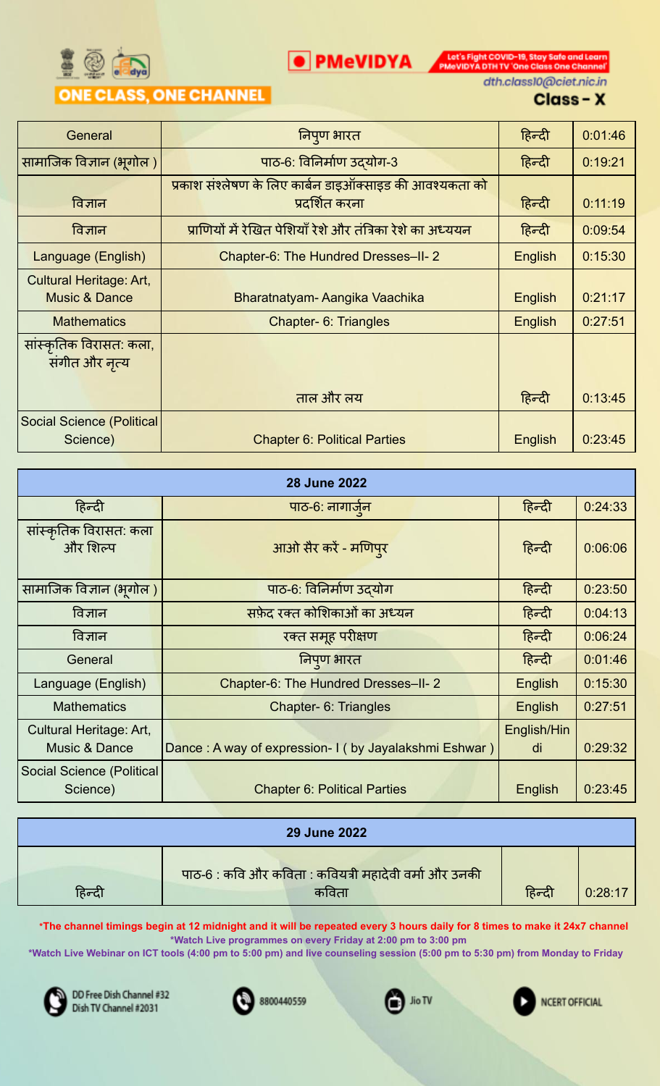

**O** PMeVIDYA **DESCRIPTION** PMOVIDYA DTHITV 'One Class One Channel' dth.class10@ciet.nic.in

## Class-X

| General                                                    | निपुण भारत                                                                | हिन्दी         | 0:01:46 |
|------------------------------------------------------------|---------------------------------------------------------------------------|----------------|---------|
| सामाजिक विज्ञान (भूगोल )                                   | पाठ-6: विनिर्माण उदयोग-3                                                  | हिन्दी         | 0:19:21 |
| विज्ञान                                                    | प्रकाश संश्लेषण के लिए कार्बन डाइऑक्साइड की आवश्यकता को<br>प्रदर्शित करना | हिन्दी         | 0:11:19 |
| विज्ञान                                                    | प्राणियों में रेखित पेशियाँ रेशे और तंत्रिका रेशे का अध्ययन               | हिन्दी         | 0:09:54 |
| Language (English)                                         | Chapter-6: The Hundred Dresses-II-2                                       | English        | 0:15:30 |
| <b>Cultural Heritage: Art,</b><br><b>Music &amp; Dance</b> | Bharatnatyam-Aangika Vaachika                                             | <b>English</b> | 0:21:17 |
| <b>Mathematics</b>                                         | Chapter- 6: Triangles                                                     | <b>English</b> | 0:27:51 |
| सांस्कृतिक विरासत: कला,<br>संगीत और नृत्य                  |                                                                           |                |         |
|                                                            | ताल और लय                                                                 | हिन्दी         | 0:13:45 |
| <b>Social Science (Political)</b><br>Science)              | <b>Chapter 6: Political Parties</b>                                       | <b>English</b> | 0:23:45 |

| <b>28 June 2022</b>                                 |                                     |                                                       |                   |         |  |
|-----------------------------------------------------|-------------------------------------|-------------------------------------------------------|-------------------|---------|--|
| हिन्दी                                              | पाठ-6: नागार्जुन                    |                                                       | हिन्दी            | 0:24:33 |  |
| सांस्कृतिक विरासत: कला<br>और शिल्प                  |                                     | आओ सैर करें - मणिपुर                                  | हिन्दी            | 0:06:06 |  |
| सामाजिक विज्ञान (भूगोल)                             |                                     | पाठ-6: विनिर्माण उदयोग                                | हिन्दी            | 0:23:50 |  |
| विज्ञान                                             | सफ़ेद रक्त कोशिकाओं का अध्यन        |                                                       | हिन्दी            | 0:04:13 |  |
| विज्ञान                                             |                                     | रक्त समूह परीक्षण                                     | हिन्दी            | 0:06:24 |  |
| General                                             |                                     | निपण भारत                                             | हिन्दी            | 0:01:46 |  |
| Language (English)                                  | Chapter-6: The Hundred Dresses-II-2 |                                                       | English           | 0:15:30 |  |
| <b>Mathematics</b>                                  | <b>Chapter- 6: Triangles</b>        |                                                       | English           | 0:27:51 |  |
| Cultural Heritage: Art,<br><b>Music &amp; Dance</b> |                                     | Dance: A way of expression- I (by Jayalakshmi Eshwar) | English/Hin<br>di | 0:29:32 |  |
| Social Science (Political<br>Science)               |                                     | <b>Chapter 6: Political Parties</b>                   | English           | 0:23:45 |  |

| <b>29 June 2022</b> |                                                       |        |         |  |  |
|---------------------|-------------------------------------------------------|--------|---------|--|--|
|                     | पाठ-6 : कवि और कविता : कवियत्री महादेवी वर्मा और उनकी |        |         |  |  |
| हिन्दी              | कविता                                                 | हिन्दी | 0:28:17 |  |  |

\*The channel timings begin at 12 midnight and it will be repeated every 3 hours daily for 8 times to make it 24x7 channel **\*Watch Live programmes on every Friday at 2:00 pm to 3:00 pm**

\*Watch Live Webinar on ICT tools (4:00 pm to 5:00 pm) and live counseling session (5:00 pm to 5:30 pm) from Monday to Friday